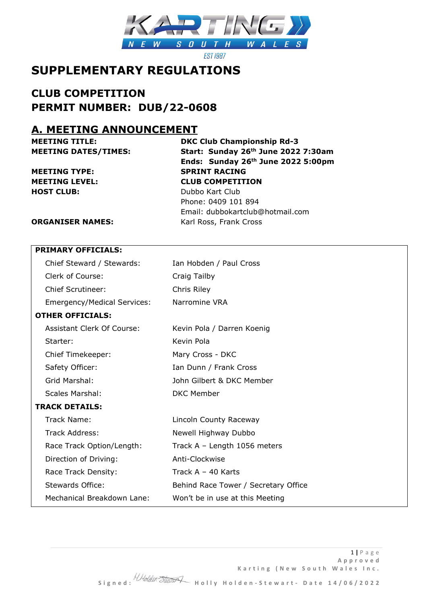

**EST 1987** 

## **SUPPLEMENTARY REGULATIONS**

## **CLUB COMPETITION PERMIT NUMBER: DUB/22-0608**

## **A. MEETING ANNOUNCEMENT**

**MEETING TYPE: SPRINT RACING HOST CLUB:** Dubbo Kart Club

**MEETING TITLE: DKC Club Championship Rd-3 MEETING DATES/TIMES: Start: Sunday 26th June 2022 7:30am Ends: Sunday 26th June 2022 5:00pm MEETING LEVEL: CLUB COMPETITION** Phone: 0409 101 894 Email: dubbokartclub@hotmail.com

**ORGANISER NAMES:** Karl Ross, Frank Cross

|                       | <b>PRIMARY OFFICIALS:</b>          |                                      |  |
|-----------------------|------------------------------------|--------------------------------------|--|
|                       | Chief Steward / Stewards:          | Ian Hobden / Paul Cross              |  |
|                       | Clerk of Course:                   | Craig Tailby                         |  |
|                       | <b>Chief Scrutineer:</b>           | Chris Riley                          |  |
|                       | <b>Emergency/Medical Services:</b> | Narromine VRA                        |  |
|                       | <b>OTHER OFFICIALS:</b>            |                                      |  |
|                       | <b>Assistant Clerk Of Course:</b>  | Kevin Pola / Darren Koenig           |  |
|                       | Starter:                           | Kevin Pola                           |  |
|                       | Chief Timekeeper:                  | Mary Cross - DKC                     |  |
|                       | Safety Officer:                    | Ian Dunn / Frank Cross               |  |
|                       | Grid Marshal:                      | John Gilbert & DKC Member            |  |
|                       | <b>Scales Marshal:</b>             | <b>DKC Member</b>                    |  |
| <b>TRACK DETAILS:</b> |                                    |                                      |  |
|                       | Track Name:                        | Lincoln County Raceway               |  |
|                       | Track Address:                     | Newell Highway Dubbo                 |  |
|                       | Race Track Option/Length:          | Track A - Length 1056 meters         |  |
|                       | Direction of Driving:              | Anti-Clockwise                       |  |
|                       | Race Track Density:                | Track $A - 40$ Karts                 |  |
|                       | Stewards Office:                   | Behind Race Tower / Secretary Office |  |
|                       | Mechanical Breakdown Lane:         | Won't be in use at this Meeting      |  |
|                       |                                    |                                      |  |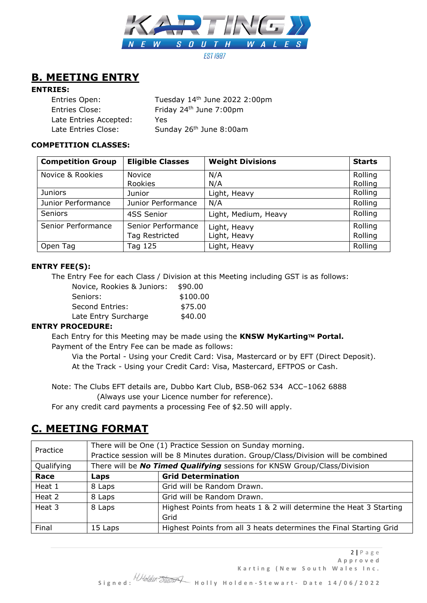

## **B. MEETING ENTRY**

### **ENTRIES:**

| Entries Open:          | Tuesday 14th June 2022 2:00pm       |
|------------------------|-------------------------------------|
| Entries Close:         | Friday 24 <sup>th</sup> June 7:00pm |
| Late Entries Accepted: | Yes.                                |
| Late Entries Close:    | Sunday 26th June 8:00am             |

### **COMPETITION CLASSES:**

| <b>Competition Group</b> | <b>Eligible Classes</b>  | <b>Weight Divisions</b> | <b>Starts</b>      |
|--------------------------|--------------------------|-------------------------|--------------------|
| Novice & Rookies         | <b>Novice</b><br>Rookies | N/A<br>N/A              | Rolling<br>Rolling |
| <b>Juniors</b>           | Junior                   | Light, Heavy            | Rolling            |
| Junior Performance       | Junior Performance       | N/A                     | Rolling            |
| <b>Seniors</b>           | 4SS Senior               | Light, Medium, Heavy    | Rolling            |
| Senior Performance       | Senior Performance       | Light, Heavy            | Rolling            |
|                          | Tag Restricted           | Light, Heavy            | Rolling            |
| Open Tag                 | Tag 125                  | Light, Heavy            | Rolling            |

### **ENTRY FEE(S):**

The Entry Fee for each Class / Division at this Meeting including GST is as follows:

| Novice, Rookies & Juniors: | \$90.00  |
|----------------------------|----------|
| Seniors:                   | \$100.00 |
| Second Entries:            | \$75.00  |
| Late Entry Surcharge       | \$40.00  |

### **ENTRY PROCEDURE:**

Each Entry for this Meeting may be made using the KNSW MyKarting™ Portal. Payment of the Entry Fee can be made as follows:

Via the Portal - Using your Credit Card: Visa, Mastercard or by EFT (Direct Deposit). At the Track - Using your Credit Card: Visa, Mastercard, EFTPOS or Cash.

Note: The Clubs EFT details are, Dubbo Kart Club, BSB-062 534 ACC–1062 6888

(Always use your Licence number for reference).

For any credit card payments a processing Fee of \$2.50 will apply.

## **C. MEETING FORMAT**

| Practice   | There will be One (1) Practice Session on Sunday morning.                          |                                                                          |
|------------|------------------------------------------------------------------------------------|--------------------------------------------------------------------------|
|            | Practice session will be 8 Minutes duration. Group/Class/Division will be combined |                                                                          |
| Qualifying |                                                                                    | There will be No Timed Qualifying sessions for KNSW Group/Class/Division |
| Race       | Laps                                                                               | <b>Grid Determination</b>                                                |
| Heat 1     | 8 Laps                                                                             | Grid will be Random Drawn.                                               |
| Heat 2     | 8 Laps                                                                             | Grid will be Random Drawn.                                               |
| Heat 3     | 8 Laps                                                                             | Highest Points from heats 1 & 2 will determine the Heat 3 Starting       |
|            |                                                                                    | Grid                                                                     |
| Final      | 15 Laps                                                                            | Highest Points from all 3 heats determines the Final Starting Grid       |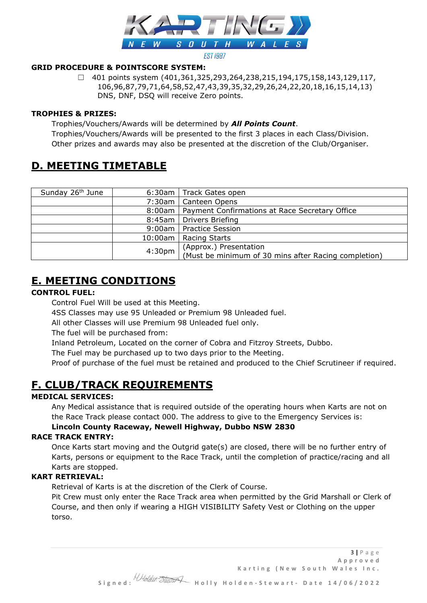

#### **EST 1987**

### **GRID PROCEDURE & POINTSCORE SYSTEM:**

☐ 401 points system (401,361,325,293,264,238,215,194,175,158,143,129,117, 106,96,87,79,71,64,58,52,47,43,39,35,32,29,26,24,22,20,18,16,15,14,13) DNS, DNF, DSQ will receive Zero points.

### **TROPHIES & PRIZES:**

Trophies/Vouchers/Awards will be determined by *All Points Count*. Trophies/Vouchers/Awards will be presented to the first 3 places in each Class/Division. Other prizes and awards may also be presented at the discretion of the Club/Organiser.

## **D. MEETING TIMETABLE**

| Sunday 26 <sup>th</sup> June |        | 6:30am   Track Gates open                                                      |
|------------------------------|--------|--------------------------------------------------------------------------------|
|                              |        | 7:30am   Canteen Opens                                                         |
|                              |        | 8:00am   Payment Confirmations at Race Secretary Office                        |
|                              |        | 8:45am   Drivers Briefing                                                      |
|                              |        | 9:00am   Practice Session                                                      |
|                              |        | 10:00am   Racing Starts                                                        |
|                              | 4:30pm | (Approx.) Presentation<br>(Must be minimum of 30 mins after Racing completion) |

# **E. MEETING CONDITIONS**

### **CONTROL FUEL:**

Control Fuel Will be used at this Meeting.

4SS Classes may use 95 Unleaded or Premium 98 Unleaded fuel.

All other Classes will use Premium 98 Unleaded fuel only.

The fuel will be purchased from:

Inland Petroleum, Located on the corner of Cobra and Fitzroy Streets, Dubbo.

The Fuel may be purchased up to two days prior to the Meeting.

Proof of purchase of the fuel must be retained and produced to the Chief Scrutineer if required.

## **F. CLUB/TRACK REQUIREMENTS**

### **MEDICAL SERVICES:**

Any Medical assistance that is required outside of the operating hours when Karts are not on the Race Track please contact 000. The address to give to the Emergency Services is:

### **Lincoln County Raceway, Newell Highway, Dubbo NSW 2830**

### **RACE TRACK ENTRY:**

Once Karts start moving and the Outgrid gate(s) are closed, there will be no further entry of Karts, persons or equipment to the Race Track, until the completion of practice/racing and all Karts are stopped.

### **KART RETRIEVAL:**

Retrieval of Karts is at the discretion of the Clerk of Course.

Pit Crew must only enter the Race Track area when permitted by the Grid Marshall or Clerk of Course, and then only if wearing a HIGH VISIBILITY Safety Vest or Clothing on the upper torso.

 **S i g n e d : H o l l y H o l d e n - S t e w a r t - D a t e 1 4 / 0 6 / 2 0 2 2**